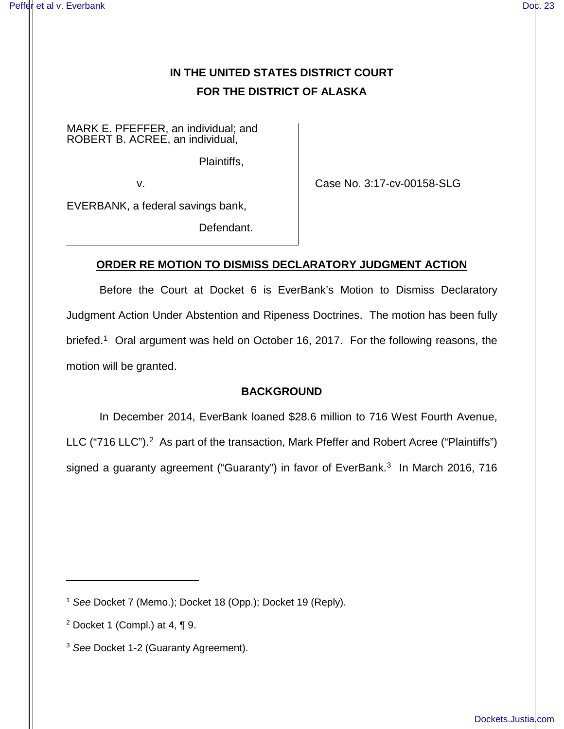# **IN THE UNITED STATES DISTRICT COURT FOR THE DISTRICT OF ALASKA**

MARK E. PFEFFER, an individual; and ROBERT B. ACREE, an individual,

Plaintiffs,

v.

Case No. 3:17-cv-00158-SLG

EVERBANK, a federal savings bank,

Defendant.

## **ORDER RE MOTION TO DISMISS DECLARATORY JUDGMENT ACTION**

Before the Court at Docket 6 is EverBank's Motion to Dismiss Declaratory Judgment Action Under Abstention and Ripeness Doctrines. The motion has been fully briefed.<sup>[1](#page-0-0)</sup> Oral argument was held on October 16, 2017. For the following reasons, the motion will be granted.

## **BACKGROUND**

In December 2014, EverBank loaned \$28.6 million to 716 West Fourth Avenue, LLC ("716 LLC").<sup>[2](#page-0-1)</sup> As part of the transaction, Mark Pfeffer and Robert Acree ("Plaintiffs") signed a guaranty agreement ("Guaranty") in favor of EverBank.<sup>[3](#page-0-2)</sup> In March 2016, 716

<span id="page-0-0"></span><sup>1</sup> See Docket 7 (Memo.); Docket 18 (Opp.); Docket 19 (Reply).

<span id="page-0-1"></span><sup>&</sup>lt;sup>2</sup> Docket 1 (Compl.) at 4,  $\P$  9.

<span id="page-0-2"></span><sup>&</sup>lt;sup>3</sup> See Docket 1-2 (Guaranty Agreement).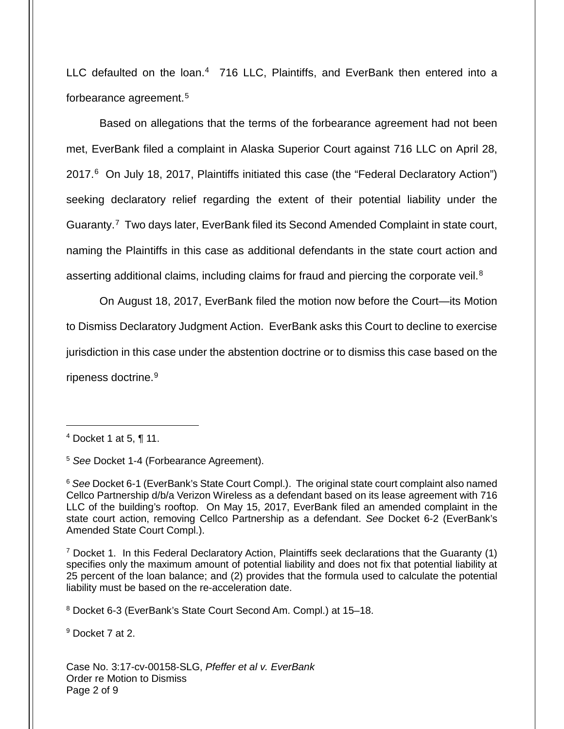LLC defaulted on the loan.<sup>[4](#page-1-0)</sup> 716 LLC, Plaintiffs, and EverBank then entered into a forbearance agreement.[5](#page-1-1)

Based on allegations that the terms of the forbearance agreement had not been met, EverBank filed a complaint in Alaska Superior Court against 716 LLC on April 28, 2017.<sup>[6](#page-1-2)</sup> On July 18, 2017, Plaintiffs initiated this case (the "Federal Declaratory Action") seeking declaratory relief regarding the extent of their potential liability under the Guaranty.<sup>[7](#page-1-3)</sup> Two days later, EverBank filed its Second Amended Complaint in state court, naming the Plaintiffs in this case as additional defendants in the state court action and asserting additional claims, including claims for fraud and piercing the corporate veil. $8$ 

On August 18, 2017, EverBank filed the motion now before the Court—its Motion to Dismiss Declaratory Judgment Action. EverBank asks this Court to decline to exercise jurisdiction in this case under the abstention doctrine or to dismiss this case based on the ripeness doctrine.<sup>[9](#page-1-5)</sup>

 $\overline{a}$ 

<span id="page-1-3"></span><sup>7</sup> Docket 1. In this Federal Declaratory Action, Plaintiffs seek declarations that the Guaranty (1) specifies only the maximum amount of potential liability and does not fix that potential liability at 25 percent of the loan balance; and (2) provides that the formula used to calculate the potential liability must be based on the re-acceleration date.

<span id="page-1-4"></span><sup>8</sup> Docket 6-3 (EverBank's State Court Second Am. Compl.) at 15–18.

<span id="page-1-5"></span><sup>9</sup> Docket 7 at 2.

Case No. 3:17-cv-00158-SLG, Pfeffer et al v. EverBank Order re Motion to Dismiss Page 2 of 9

<span id="page-1-0"></span> $4$  Docket 1 at 5, ¶ 11.

<span id="page-1-1"></span><sup>5</sup> See Docket 1-4 (Forbearance Agreement).

<span id="page-1-2"></span><sup>&</sup>lt;sup>6</sup> See Docket 6-1 (EverBank's State Court Compl.). The original state court complaint also named Cellco Partnership d/b/a Verizon Wireless as a defendant based on its lease agreement with 716 LLC of the building's rooftop. On May 15, 2017, EverBank filed an amended complaint in the state court action, removing Cellco Partnership as a defendant. See Docket 6-2 (EverBank's Amended State Court Compl.).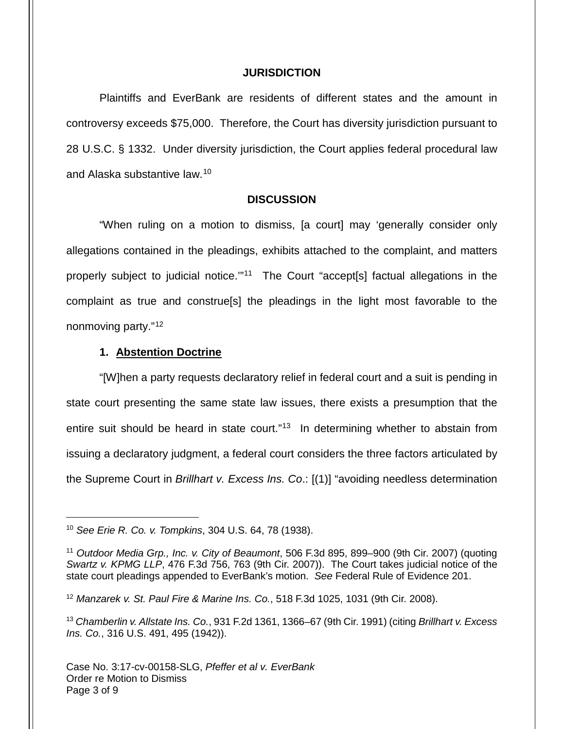#### **JURISDICTION**

Plaintiffs and EverBank are residents of different states and the amount in controversy exceeds \$75,000. Therefore, the Court has diversity jurisdiction pursuant to 28 U.S.C. § 1332. Under diversity jurisdiction, the Court applies federal procedural law and Alaska substantive law.<sup>[10](#page-2-0)</sup>

#### **DISCUSSION**

"When ruling on a motion to dismiss, [a court] may 'generally consider only allegations contained in the pleadings, exhibits attached to the complaint, and matters properly subject to judicial notice."<sup>[11](#page-2-1)</sup> The Court "accept[s] factual allegations in the complaint as true and construe[s] the pleadings in the light most favorable to the nonmoving party."<sup>[12](#page-2-2)</sup>

#### **1. Abstention Doctrine**

"[W]hen a party requests declaratory relief in federal court and a suit is pending in state court presenting the same state law issues, there exists a presumption that the entire suit should be heard in state court."<sup>[13](#page-2-3)</sup> In determining whether to abstain from issuing a declaratory judgment, a federal court considers the three factors articulated by the Supreme Court in Brillhart v. Excess Ins. Co.: [(1)] "avoiding needless determination

1

<span id="page-2-0"></span><sup>10</sup> See Erie R. Co. v. Tompkins, 304 U.S. 64, 78 (1938).

<span id="page-2-1"></span><sup>&</sup>lt;sup>11</sup> Outdoor Media Grp., Inc. v. City of Beaumont, 506 F.3d 895, 899-900 (9th Cir. 2007) (quoting Swartz v. KPMG LLP, 476 F.3d 756, 763 (9th Cir. 2007)). The Court takes judicial notice of the state court pleadings appended to EverBank's motion. See Federal Rule of Evidence 201.

<span id="page-2-2"></span> $12$  Manzarek v. St. Paul Fire & Marine Ins. Co., 518 F.3d 1025, 1031 (9th Cir. 2008).

<span id="page-2-3"></span><sup>13</sup> Chamberlin v. Allstate Ins. Co., 931 F.2d 1361, 1366-67 (9th Cir. 1991) (citing Brillhart v. Excess Ins. Co., 316 U.S. 491, 495 (1942)).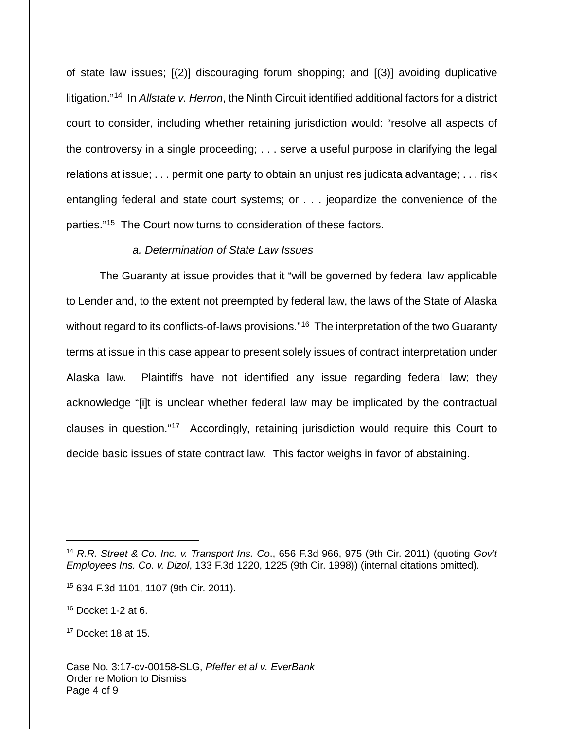of state law issues; [(2)] discouraging forum shopping; and [(3)] avoiding duplicative litigation."<sup>[14](#page-3-0)</sup> In Allstate v. Herron, the Ninth Circuit identified additional factors for a district court to consider, including whether retaining jurisdiction would: "resolve all aspects of the controversy in a single proceeding; . . . serve a useful purpose in clarifying the legal relations at issue; . . . permit one party to obtain an unjust res judicata advantage; . . . risk entangling federal and state court systems; or . . . jeopardize the convenience of the parties."[15](#page-3-1) The Court now turns to consideration of these factors.

#### a. Determination of State Law Issues

The Guaranty at issue provides that it "will be governed by federal law applicable to Lender and, to the extent not preempted by federal law, the laws of the State of Alaska without regard to its conflicts-of-laws provisions."<sup>[16](#page-3-2)</sup> The interpretation of the two Guaranty terms at issue in this case appear to present solely issues of contract interpretation under Alaska law. Plaintiffs have not identified any issue regarding federal law; they acknowledge "[i]t is unclear whether federal law may be implicated by the contractual clauses in question."[17](#page-3-3) Accordingly, retaining jurisdiction would require this Court to decide basic issues of state contract law. This factor weighs in favor of abstaining.

<span id="page-3-0"></span><sup>&</sup>lt;sup>14</sup> R.R. Street & Co. Inc. v. Transport Ins. Co., 656 F.3d 966, 975 (9th Cir. 2011) (quoting Gov't Employees Ins. Co. v. Dizol, 133 F.3d 1220, 1225 (9th Cir. 1998)) (internal citations omitted).

<span id="page-3-1"></span><sup>15</sup> 634 F.3d 1101, 1107 (9th Cir. 2011).

<span id="page-3-2"></span><sup>16</sup> Docket 1-2 at 6.

<span id="page-3-3"></span><sup>17</sup> Docket 18 at 15.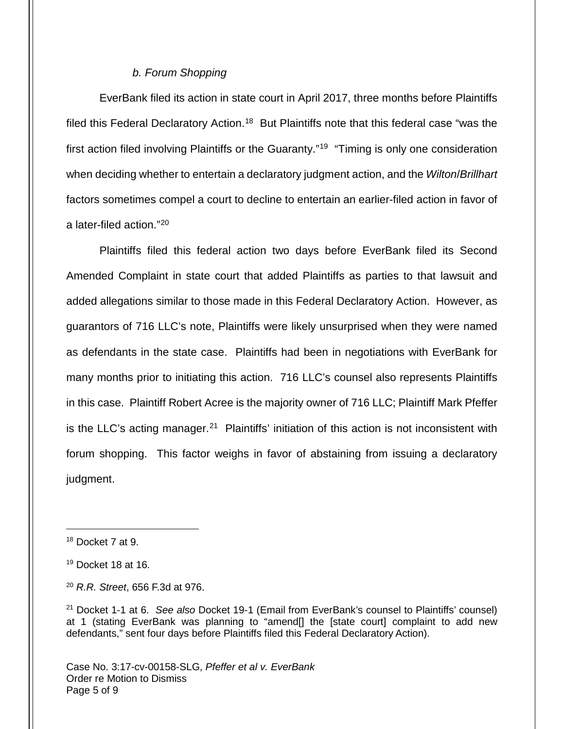### b. Forum Shopping

EverBank filed its action in state court in April 2017, three months before Plaintiffs filed this Federal Declaratory Action.<sup>[18](#page-4-0)</sup> But Plaintiffs note that this federal case "was the first action filed involving Plaintiffs or the Guaranty."<sup>[19](#page-4-1)</sup> "Timing is only one consideration when deciding whether to entertain a declaratory judgment action, and the Wilton/Brillhart factors sometimes compel a court to decline to entertain an earlier-filed action in favor of a later-filed action."[20](#page-4-2)

Plaintiffs filed this federal action two days before EverBank filed its Second Amended Complaint in state court that added Plaintiffs as parties to that lawsuit and added allegations similar to those made in this Federal Declaratory Action. However, as guarantors of 716 LLC's note, Plaintiffs were likely unsurprised when they were named as defendants in the state case. Plaintiffs had been in negotiations with EverBank for many months prior to initiating this action. 716 LLC's counsel also represents Plaintiffs in this case. Plaintiff Robert Acree is the majority owner of 716 LLC; Plaintiff Mark Pfeffer is the LLC's acting manager.<sup>[21](#page-4-3)</sup> Plaintiffs' initiation of this action is not inconsistent with forum shopping. This factor weighs in favor of abstaining from issuing a declaratory judgment.

<span id="page-4-0"></span> $18$  Docket 7 at 9.

<span id="page-4-1"></span> $19$  Docket 18 at 16.

<span id="page-4-2"></span> $20$  R.R. Street, 656 F.3d at 976.

<span id="page-4-3"></span> $21$  Docket 1-1 at 6. See also Docket 19-1 (Email from EverBank's counsel to Plaintiffs' counsel) at 1 (stating EverBank was planning to "amend[] the [state court] complaint to add new defendants," sent four days before Plaintiffs filed this Federal Declaratory Action).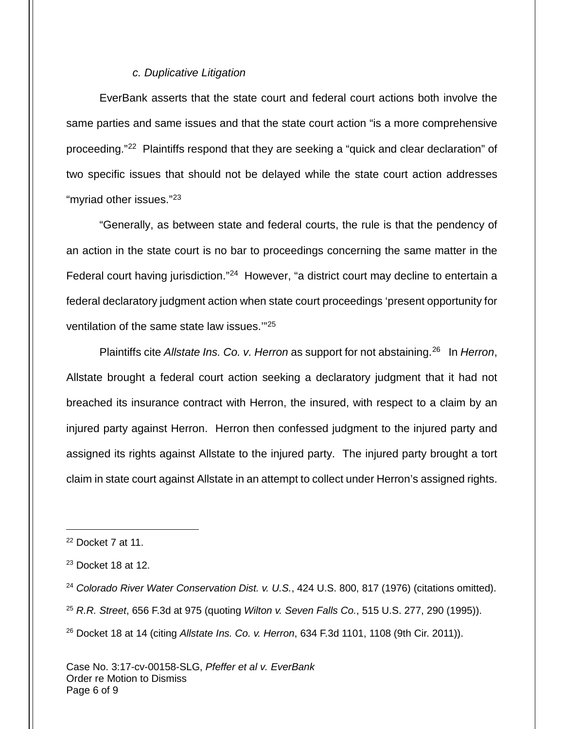### c. Duplicative Litigation

EverBank asserts that the state court and federal court actions both involve the same parties and same issues and that the state court action "is a more comprehensive proceeding."<sup>[22](#page-5-0)</sup> Plaintiffs respond that they are seeking a "quick and clear declaration" of two specific issues that should not be delayed while the state court action addresses "myriad other issues."<sup>[23](#page-5-1)</sup>

"Generally, as between state and federal courts, the rule is that the pendency of an action in the state court is no bar to proceedings concerning the same matter in the Federal court having jurisdiction."<sup>[24](#page-5-2)</sup> However, "a district court may decline to entertain a federal declaratory judgment action when state court proceedings 'present opportunity for ventilation of the same state law issues.'"[25](#page-5-3)

Plaintiffs cite Allstate Ins. Co. v. Herron as support for not abstaining.<sup>[26](#page-5-4)</sup> In Herron, Allstate brought a federal court action seeking a declaratory judgment that it had not breached its insurance contract with Herron, the insured, with respect to a claim by an injured party against Herron. Herron then confessed judgment to the injured party and assigned its rights against Allstate to the injured party. The injured party brought a tort claim in state court against Allstate in an attempt to collect under Herron's assigned rights.

- <span id="page-5-3"></span><sup>25</sup> R.R. Street, 656 F.3d at 975 (quoting *Wilton v. Seven Falls Co.*, 515 U.S. 277, 290 (1995)).
- <span id="page-5-4"></span> $26$  Docket 18 at 14 (citing Allstate Ins. Co. v. Herron, 634 F.3d 1101, 1108 (9th Cir. 2011)).

<span id="page-5-0"></span> $22$  Docket 7 at 11.

<span id="page-5-1"></span> $23$  Docket 18 at 12.

<span id="page-5-2"></span><sup>&</sup>lt;sup>24</sup> Colorado River Water Conservation Dist. v. U.S., 424 U.S. 800, 817 (1976) (citations omitted).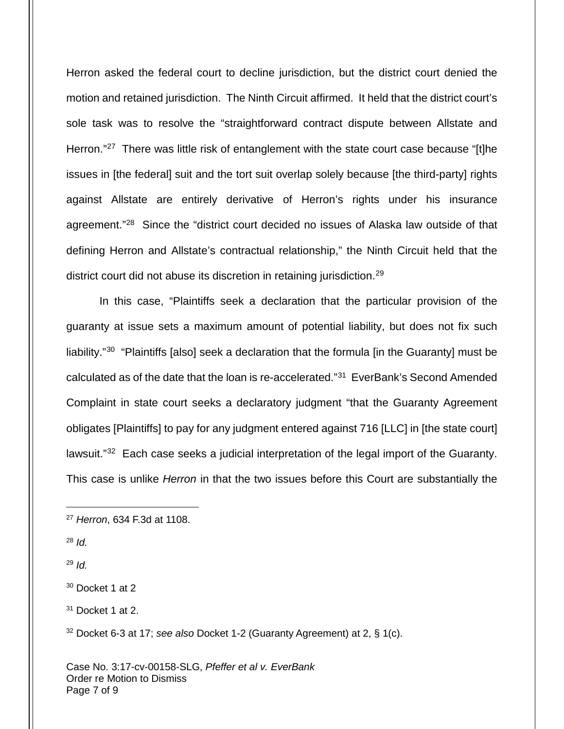Herron asked the federal court to decline jurisdiction, but the district court denied the motion and retained jurisdiction. The Ninth Circuit affirmed. It held that the district court's sole task was to resolve the "straightforward contract dispute between Allstate and Herron."<sup>[27](#page-6-0)</sup> There was little risk of entanglement with the state court case because "[t]he issues in [the federal] suit and the tort suit overlap solely because [the third-party] rights against Allstate are entirely derivative of Herron's rights under his insurance agreement."<sup>[28](#page-6-1)</sup> Since the "district court decided no issues of Alaska law outside of that defining Herron and Allstate's contractual relationship," the Ninth Circuit held that the district court did not abuse its discretion in retaining jurisdiction.<sup>[29](#page-6-2)</sup>

In this case, "Plaintiffs seek a declaration that the particular provision of the guaranty at issue sets a maximum amount of potential liability, but does not fix such liability."<sup>[30](#page-6-3)</sup> "Plaintiffs [also] seek a declaration that the formula [in the Guaranty] must be calculated as of the date that the loan is re-accelerated."<sup>[31](#page-6-4)</sup> EverBank's Second Amended Complaint in state court seeks a declaratory judgment "that the Guaranty Agreement obligates [Plaintiffs] to pay for any judgment entered against 716 [LLC] in [the state court] lawsuit."<sup>[32](#page-6-5)</sup> Each case seeks a judicial interpretation of the legal import of the Guaranty. This case is unlike *Herron* in that the two issues before this Court are substantially the

<span id="page-6-1"></span> $28$  *Id.* 

1

<span id="page-6-2"></span> $29$  *Id.* 

<span id="page-6-0"></span><sup>27</sup> Herron, 634 F.3d at 1108.

<span id="page-6-3"></span> $30$  Docket 1 at 2

<span id="page-6-4"></span> $31$  Docket 1 at 2.

<span id="page-6-5"></span><sup>32</sup> Docket 6-3 at 17; see also Docket 1-2 (Guaranty Agreement) at 2, § 1(c).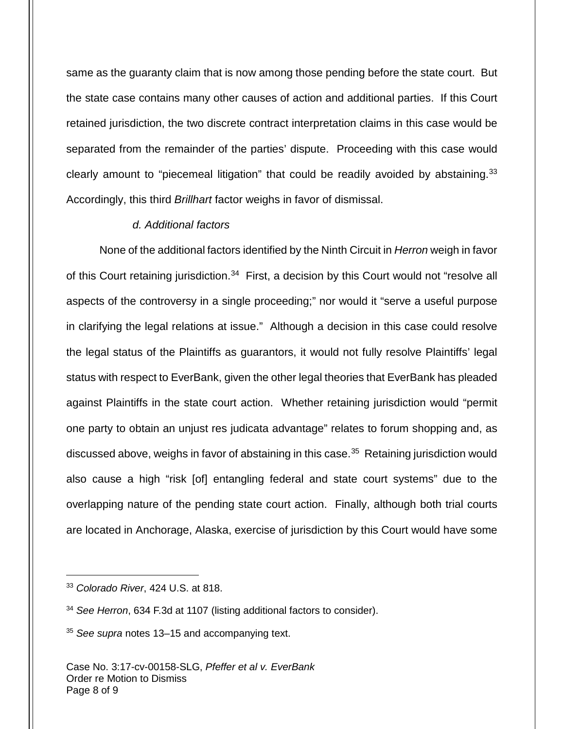same as the guaranty claim that is now among those pending before the state court. But the state case contains many other causes of action and additional parties. If this Court retained jurisdiction, the two discrete contract interpretation claims in this case would be separated from the remainder of the parties' dispute. Proceeding with this case would clearly amount to "piecemeal litigation" that could be readily avoided by abstaining.<sup>[33](#page-7-0)</sup> Accordingly, this third Brillhart factor weighs in favor of dismissal.

## d. Additional factors

None of the additional factors identified by the Ninth Circuit in *Herron* weigh in favor of this Court retaining jurisdiction.<sup>[34](#page-7-1)</sup> First, a decision by this Court would not "resolve all aspects of the controversy in a single proceeding;" nor would it "serve a useful purpose in clarifying the legal relations at issue." Although a decision in this case could resolve the legal status of the Plaintiffs as guarantors, it would not fully resolve Plaintiffs' legal status with respect to EverBank, given the other legal theories that EverBank has pleaded against Plaintiffs in the state court action. Whether retaining jurisdiction would "permit one party to obtain an unjust res judicata advantage" relates to forum shopping and, as discussed above, weighs in favor of abstaining in this case. [35](#page-7-2) Retaining jurisdiction would also cause a high "risk [of] entangling federal and state court systems" due to the overlapping nature of the pending state court action. Finally, although both trial courts are located in Anchorage, Alaska, exercise of jurisdiction by this Court would have some

1

<span id="page-7-0"></span><sup>&</sup>lt;sup>33</sup> Colorado River, 424 U.S. at 818.

<span id="page-7-1"></span><sup>&</sup>lt;sup>34</sup> See Herron, 634 F.3d at 1107 (listing additional factors to consider).

<span id="page-7-2"></span> $35$  See supra notes 13–15 and accompanying text.